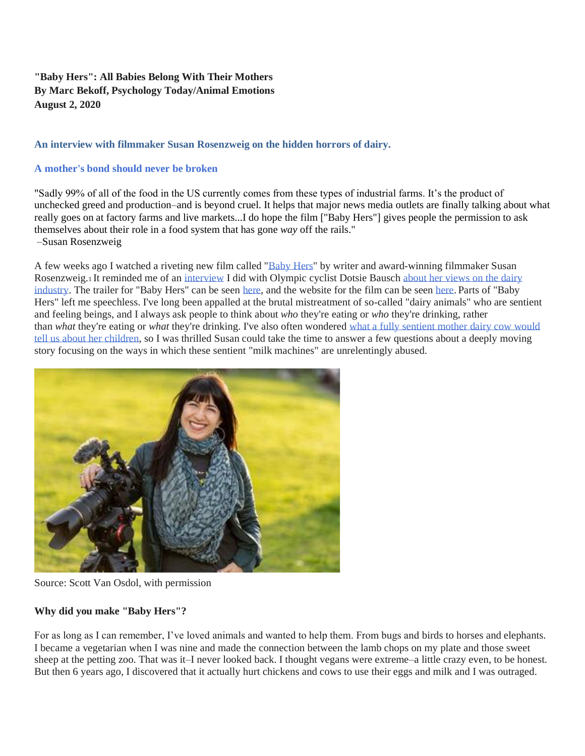# **"Baby Hers": All Babies Belong With Their Mothers By Marc Bekoff, Psychology Today/Animal Emotions August 2, 2020**

### **An interview with filmmaker Susan Rosenzweig on the hidden horrors of dairy.**

### **[A mother's bond should never be broken](https://www.babyhersfilm.com/)**

"Sadly 99% of all of the food in the US currently comes from these types of industrial farms. It's the product of unchecked greed and production–and is beyond cruel. It helps that major news media outlets are finally talking about what really goes on at factory farms and live markets...I do hope the film ["Baby Hers"] gives people the permission to ask themselves about their role in a food system that has gone *way* off the rails." –Susan Rosenzweig

A few weeks ago I watched a riveting new film called ["Baby Hers"](https://vimeo.com/429115594) by writer and award-winning filmmaker Susan Rosenzweig.<sup>1</sup> It reminded me of an [interview](https://www.psychologytoday.com/us/blog/animal-emotions/202003/addiction-healing-and-the-olympics-animal-activism) I did with Olympic cyclist Dotsie Bausch about her views on the dairy [industry.](https://switch4good.org/) The trailer for "Baby Hers" can be seen [here,](https://vimeo.com/429115594) and the website for the film can be seen [here.](https://www.babyhersfilm.com/) Parts of "Baby Hers" left me speechless. I've long been appalled at the brutal mistreatment of so-called "dairy animals" who are sentient and feeling beings, and I always ask people to think about *who* they're eating or *who* they're drinking, rather than *what* they're eating or *what* they're drinking. I've also often wondered [what a fully sentient mother dairy cow would](https://www.psychologytoday.com/us/blog/animal-emotions/201805/what-would-mother-food-cow-tell-us-about-her-children)  tell us about [her children,](https://www.psychologytoday.com/us/blog/animal-emotions/201805/what-would-mother-food-cow-tell-us-about-her-children) so I was thrilled Susan could take the time to answer a few questions about a deeply moving story focusing on the ways in which these sentient "milk machines" are unrelentingly abused.



Source: Scott Van Osdol, with permission

# **Why did you make "Baby Hers"?**

For as long as I can remember, I've loved animals and wanted to help them. From bugs and birds to horses and elephants. I became a vegetarian when I was nine and made the connection between the lamb chops on my plate and those sweet sheep at the petting zoo. That was it–I never looked back. I thought vegans were extreme–a little crazy even, to be honest. But then 6 years ago, I discovered that it actually hurt chickens and cows to use their eggs and milk and I was outraged.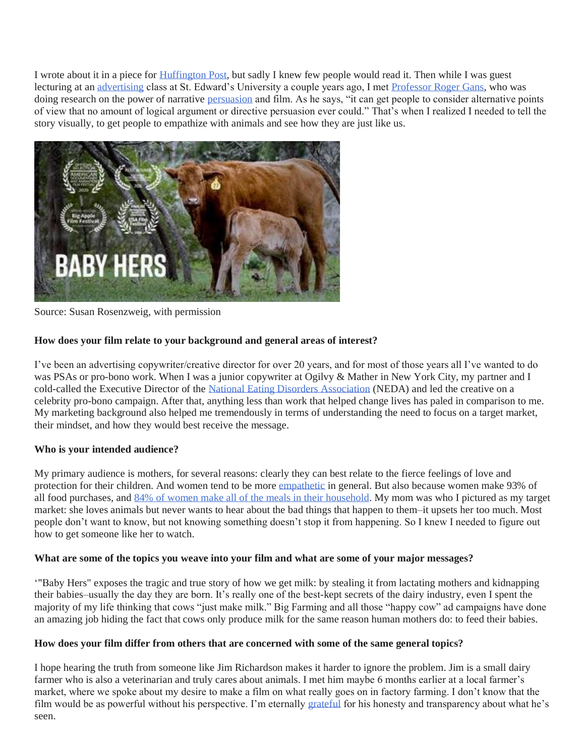I wrote about it in a piece for [Huffington Post,](https://www.huffpost.com/entry/the-other-inconvenient-truth_b_587a9870e4b094e1aa9dc6ce) but sadly I knew few people would read it. Then while I was guest lecturing at an [advertising](https://www.psychologytoday.com/us/basics/consumer-behavior) class at St. Edward's University a couple years ago, I met [Professor Roger Gans,](https://www.linkedin.com/authwall?trk=gf&trkInfo=AQEhItuD8hq11AAAAXOXt71gBkEq7y1TxSis-8VwO-j9bYxDHRkI1xxU6ec-lCN_-gastsIyHvL5Gb8BP1hf-DmECZ3XqacK3nrp7nwVf7vc8eQlgYGCAXMnH_KN56GLzVS_aZc=&originalReferer=&sessionRedirect=https%3A%2F%2Fwww.linkedin.com%2Fin%2Frogergans%2F) who was doing research on the power of narrative [persuasion](https://www.psychologytoday.com/us/basics/persuasion) and film. As he says, "it can get people to consider alternative points of view that no amount of logical argument or directive persuasion ever could." That's when I realized I needed to tell the story visually, to get people to empathize with animals and see how they are just like us.



Source: Susan Rosenzweig, with permission

# **How does your film relate to your background and general areas of interest?**

I've been an advertising copywriter/creative director for over 20 years, and for most of those years all I've wanted to do was PSAs or pro-bono work. When I was a junior copywriter at Ogilvy & Mather in New York City, my partner and I cold-called the Executive Director of the [National Eating Disorders Association](https://www.nationaleatingdisorders.org/) (NEDA) and led the creative on a celebrity pro-bono campaign. After that, anything less than work that helped change lives has paled in comparison to me. My marketing background also helped me tremendously in terms of understanding the need to focus on a target market, their mindset, and how they would best receive the message.

# **Who is your intended audience?**

My primary audience is mothers, for several reasons: clearly they can best relate to the fierce feelings of love and protection for their children. And women tend to be more [empathetic](https://www.psychologytoday.com/us/basics/empathy) in general. But also because women make 93% of all food purchases, and [84% of women make all of the meals in their household.](https://girlpowermarketing.com/statistics-purchasing-power-women/) My mom was who I pictured as my target market: she loves animals but never wants to hear about the bad things that happen to them–it upsets her too much. Most people don't want to know, but not knowing something doesn't stop it from happening. So I knew I needed to figure out how to get someone like her to watch.

#### **What are some of the topics you weave into your film and what are some of your major messages?**

'"Baby Hers" exposes the tragic and true story of how we get milk: by stealing it from lactating mothers and kidnapping their babies–usually the day they are born. It's really one of the best-kept secrets of the dairy industry, even I spent the majority of my life thinking that cows "just make milk." Big Farming and all those "happy cow" ad campaigns have done an amazing job hiding the fact that cows only produce milk for the same reason human mothers do: to feed their babies.

#### **How does your film differ from others that are concerned with some of the same general topics?**

I hope hearing the truth from someone like Jim Richardson makes it harder to ignore the problem. Jim is a small dairy farmer who is also a veterinarian and truly cares about animals. I met him maybe 6 months earlier at a local farmer's market, where we spoke about my desire to make a film on what really goes on in factory farming. I don't know that the film would be as powerful without his perspective. I'm eternally [grateful](https://www.psychologytoday.com/us/basics/gratitude) for his honesty and transparency about what he's seen.